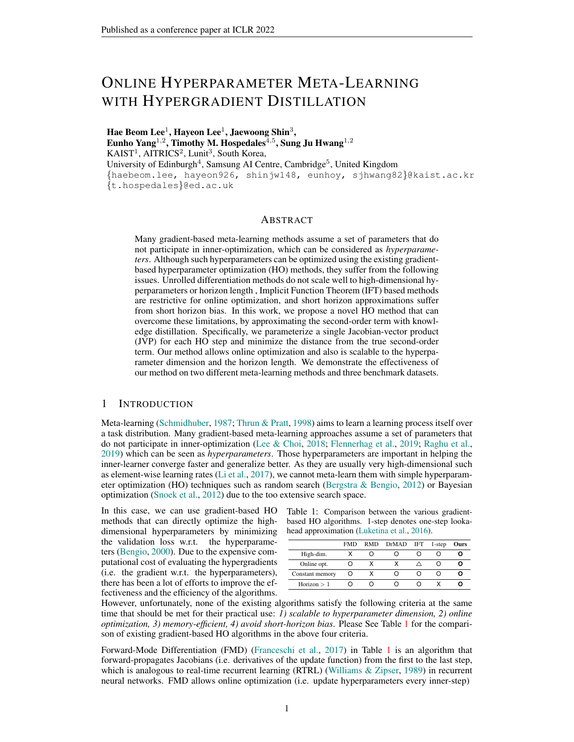# ONLINE HYPERPARAMETER META-LEARNING WITH HYPERGRADIENT DISTILLATION

Hae Beom Lee $^1$ , Hayeon Lee $^1$ , Jaewoong Shin $^3,$ Eunho Yang $^{1,2}$ , Timothy M. Hospedales $^{\overline{4},5}$ , Sung Ju Hwang $^{1,2}$  $KAIST<sup>1</sup>$ , AITRICS<sup>2</sup>, Lunit<sup>3</sup>, South Korea, University of Edinburgh<sup>4</sup>, Samsung AI Centre, Cambridge<sup>5</sup>, United Kingdom {haebeom.lee, hayeon926, shinjw148, eunhoy, sjhwang82}@kaist.ac.kr {t.hospedales}@ed.ac.uk

### ABSTRACT

Many gradient-based meta-learning methods assume a set of parameters that do not participate in inner-optimization, which can be considered as *hyperparameters*. Although such hyperparameters can be optimized using the existing gradientbased hyperparameter optimization (HO) methods, they suffer from the following issues. Unrolled differentiation methods do not scale well to high-dimensional hyperparameters or horizon length , Implicit Function Theorem (IFT) based methods are restrictive for online optimization, and short horizon approximations suffer from short horizon bias. In this work, we propose a novel HO method that can overcome these limitations, by approximating the second-order term with knowledge distillation. Specifically, we parameterize a single Jacobian-vector product (JVP) for each HO step and minimize the distance from the true second-order term. Our method allows online optimization and also is scalable to the hyperparameter dimension and the horizon length. We demonstrate the effectiveness of our method on two different meta-learning methods and three benchmark datasets.

## 1 INTRODUCTION

Meta-learning [\(Schmidhuber,](#page-10-0) [1987;](#page-10-0) [Thrun & Pratt,](#page-11-0) [1998\)](#page-11-0) aims to learn a learning process itself over a task distribution. Many gradient-based meta-learning approaches assume a set of parameters that do not participate in inner-optimization [\(Lee & Choi,](#page-10-1) [2018;](#page-10-1) [Flennerhag et al.,](#page-9-0) [2019;](#page-9-0) [Raghu et al.,](#page-10-2) [2019\)](#page-10-2) which can be seen as *hyperparameters*. Those hyperparameters are important in helping the inner-learner converge faster and generalize better. As they are usually very high-dimensional such as element-wise learning rates [\(Li et al.,](#page-10-3) [2017\)](#page-10-3), we cannot meta-learn them with simple hyperparam-eter optimization (HO) techniques such as random search [\(Bergstra & Bengio,](#page-9-1) [2012\)](#page-9-1) or Bayesian optimization [\(Snoek et al.,](#page-11-1) [2012\)](#page-11-1) due to the too extensive search space.

In this case, we can use gradient-based HO methods that can directly optimize the highdimensional hyperparameters by minimizing the validation loss w.r.t. the hyperparameters [\(Bengio,](#page-9-2) [2000\)](#page-9-2). Due to the expensive computational cost of evaluating the hypergradients (i.e. the gradient w.r.t. the hyperparameters), there has been a lot of efforts to improve the effectiveness and the efficiency of the algorithms.

<span id="page-0-0"></span>Table 1: Comparison between the various gradientbased HO algorithms. 1-step denotes one-step lookahead approximation [\(Luketina et al.,](#page-10-4) [2016\)](#page-10-4).

|                 | <b>FMD</b> | RMD DrMAD IFT | 1-step | Ours |
|-----------------|------------|---------------|--------|------|
| High-dim.       |            |               |        |      |
| Online opt.     |            |               |        |      |
| Constant memory |            |               |        |      |
| Horizon $>1$    |            |               |        |      |

However, unfortunately, none of the existing algorithms satisfy the following criteria at the same time that should be met for their practical use: *1) scalable to hyperparameter dimension, 2) online optimization, 3) memory-efficient, 4) avoid short-horizon bias*. Please See Table [1](#page-0-0) for the comparison of existing gradient-based HO algorithms in the above four criteria.

Forward-Mode Differentiation (FMD) [\(Franceschi et al.,](#page-9-3) [2017\)](#page-9-3) in Table [1](#page-0-0) is an algorithm that forward-propagates Jacobians (i.e. derivatives of the update function) from the first to the last step, which is analogous to real-time recurrent learning (RTRL) [\(Williams & Zipser,](#page-11-2) [1989\)](#page-11-2) in recurrent neural networks. FMD allows online optimization (i.e. update hyperparameters every inner-step)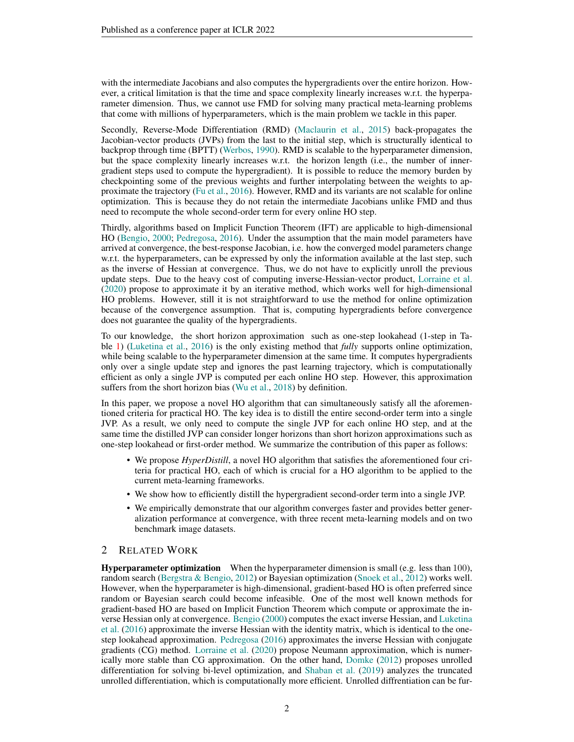with the intermediate Jacobians and also computes the hypergradients over the entire horizon. However, a critical limitation is that the time and space complexity linearly increases w.r.t. the hyperparameter dimension. Thus, we cannot use FMD for solving many practical meta-learning problems that come with millions of hyperparameters, which is the main problem we tackle in this paper.

Secondly, Reverse-Mode Differentiation (RMD) [\(Maclaurin et al.,](#page-10-5) [2015\)](#page-10-5) back-propagates the Jacobian-vector products (JVPs) from the last to the initial step, which is structurally identical to backprop through time (BPTT) [\(Werbos,](#page-11-3) [1990\)](#page-11-3). RMD is scalable to the hyperparameter dimension, but the space complexity linearly increases w.r.t. the horizon length (i.e., the number of innergradient steps used to compute the hypergradient). It is possible to reduce the memory burden by checkpointing some of the previous weights and further interpolating between the weights to approximate the trajectory [\(Fu et al.,](#page-9-4) [2016\)](#page-9-4). However, RMD and its variants are not scalable for online optimization. This is because they do not retain the intermediate Jacobians unlike FMD and thus need to recompute the whole second-order term for every online HO step.

Thirdly, algorithms based on Implicit Function Theorem (IFT) are applicable to high-dimensional HO [\(Bengio,](#page-9-2) [2000;](#page-9-2) [Pedregosa,](#page-10-6) [2016\)](#page-10-6). Under the assumption that the main model parameters have arrived at convergence, the best-response Jacobian, i.e. how the converged model parameters change w.r.t. the hyperparameters, can be expressed by only the information available at the last step, such as the inverse of Hessian at convergence. Thus, we do not have to explicitly unroll the previous update steps. Due to the heavy cost of computing inverse-Hessian-vector product, [Lorraine et al.](#page-10-7) [\(2020\)](#page-10-7) propose to approximate it by an iterative method, which works well for high-dimensional HO problems. However, still it is not straightforward to use the method for online optimization because of the convergence assumption. That is, computing hypergradients before convergence does not guarantee the quality of the hypergradients.

To our knowledge, the short horizon approximation such as one-step lookahead (1-step in Table [1\)](#page-0-0) [\(Luketina et al.,](#page-10-4) [2016\)](#page-10-4) is the only existing method that *fully* supports online optimization, while being scalable to the hyperparameter dimension at the same time. It computes hypergradients only over a single update step and ignores the past learning trajectory, which is computationally efficient as only a single JVP is computed per each online HO step. However, this approximation suffers from the short horizon bias [\(Wu et al.,](#page-11-4) [2018\)](#page-11-4) by definition.

In this paper, we propose a novel HO algorithm that can simultaneously satisfy all the aforementioned criteria for practical HO. The key idea is to distill the entire second-order term into a single JVP. As a result, we only need to compute the single JVP for each online HO step, and at the same time the distilled JVP can consider longer horizons than short horizon approximations such as one-step lookahead or first-order method. We summarize the contribution of this paper as follows:

- We propose *HyperDistill*, a novel HO algorithm that satisfies the aforementioned four criteria for practical HO, each of which is crucial for a HO algorithm to be applied to the current meta-learning frameworks.
- We show how to efficiently distill the hypergradient second-order term into a single JVP.
- We empirically demonstrate that our algorithm converges faster and provides better generalization performance at convergence, with three recent meta-learning models and on two benchmark image datasets.

## 2 RELATED WORK

**Hyperparameter optimization** When the hyperparameter dimension is small (e.g. less than 100), random search [\(Bergstra & Bengio,](#page-9-1) [2012\)](#page-9-1) or Bayesian optimization [\(Snoek et al.,](#page-11-1) [2012\)](#page-11-1) works well. However, when the hyperparameter is high-dimensional, gradient-based HO is often preferred since random or Bayesian search could become infeasible. One of the most well known methods for gradient-based HO are based on Implicit Function Theorem which compute or approximate the inverse Hessian only at convergence. [Bengio](#page-9-2) [\(2000\)](#page-9-2) computes the exact inverse Hessian, and [Luketina](#page-10-4) [et al.](#page-10-4) [\(2016\)](#page-10-4) approximate the inverse Hessian with the identity matrix, which is identical to the onestep lookahead approximation. [Pedregosa](#page-10-6) [\(2016\)](#page-10-6) approximates the inverse Hessian with conjugate gradients (CG) method. [Lorraine et al.](#page-10-7) [\(2020\)](#page-10-7) propose Neumann approximation, which is numerically more stable than CG approximation. On the other hand, [Domke](#page-9-5) [\(2012\)](#page-9-5) proposes unrolled differentiation for solving bi-level optimization, and [Shaban et al.](#page-10-8) [\(2019\)](#page-10-8) analyzes the truncated unrolled differentiation, which is computationally more efficient. Unrolled diffrentiation can be fur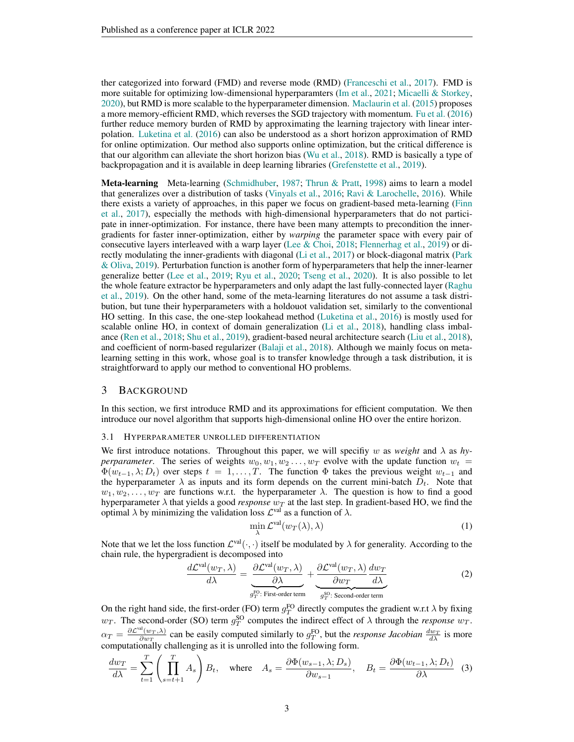ther categorized into forward (FMD) and reverse mode (RMD) [\(Franceschi et al.,](#page-9-3) [2017\)](#page-9-3). FMD is more suitable for optimizing low-dimensional hyperparamters [\(Im et al.,](#page-9-6) [2021;](#page-9-6) [Micaelli & Storkey,](#page-10-9) [2020\)](#page-10-9), but RMD is more scalable to the hyperparameter dimension. [Maclaurin et al.](#page-10-5) [\(2015\)](#page-10-5) proposes a more memory-efficient RMD, which reverses the SGD trajectory with momentum. [Fu et al.](#page-9-4) [\(2016\)](#page-9-4) further reduce memory burden of RMD by approximating the learning trajectory with linear interpolation. [Luketina et al.](#page-10-4) [\(2016\)](#page-10-4) can also be understood as a short horizon approximation of RMD for online optimization. Our method also supports online optimization, but the critical difference is that our algorithm can alleviate the short horizon bias [\(Wu et al.,](#page-11-4) [2018\)](#page-11-4). RMD is basically a type of backpropagation and it is available in deep learning libraries [\(Grefenstette et al.,](#page-9-7) [2019\)](#page-9-7).

Meta-learning Meta-learning [\(Schmidhuber,](#page-10-0) [1987;](#page-10-0) [Thrun & Pratt,](#page-11-0) [1998\)](#page-11-0) aims to learn a model that generalizes over a distribution of tasks [\(Vinyals et al.,](#page-11-5) [2016;](#page-11-5) [Ravi & Larochelle,](#page-10-10) [2016\)](#page-10-10). While there exists a variety of approaches, in this paper we focus on gradient-based meta-learning [\(Finn](#page-9-8) [et al.,](#page-9-8) [2017\)](#page-9-8), especially the methods with high-dimensional hyperparameters that do not participate in inner-optimization. For instance, there have been many attempts to precondition the innergradients for faster inner-optimization, either by *warping* the parameter space with every pair of consecutive layers interleaved with a warp layer [\(Lee & Choi,](#page-10-1) [2018;](#page-10-1) [Flennerhag et al.,](#page-9-0) [2019\)](#page-9-0) or directly modulating the inner-gradients with diagonal [\(Li et al.,](#page-10-3) [2017\)](#page-10-3) or block-diagonal matrix [\(Park](#page-10-11) [& Oliva,](#page-10-11) [2019\)](#page-10-11). Perturbation function is another form of hyperparameters that help the inner-learner generalize better [\(Lee et al.,](#page-9-9) [2019;](#page-9-9) [Ryu et al.,](#page-10-12) [2020;](#page-10-12) [Tseng et al.,](#page-11-6) [2020\)](#page-11-6). It is also possible to let the whole feature extractor be hyperparameters and only adapt the last fully-connected layer [\(Raghu](#page-10-2) [et al.,](#page-10-2) [2019\)](#page-10-2). On the other hand, some of the meta-learning literatures do not assume a task distribution, but tune their hyperparameters with a holdouot validation set, similarly to the conventional HO setting. In this case, the one-step lookahead method [\(Luketina et al.,](#page-10-4) [2016\)](#page-10-4) is mostly used for scalable online HO, in context of domain generalization [\(Li et al.,](#page-10-13) [2018\)](#page-10-13), handling class imbalance [\(Ren et al.,](#page-10-14) [2018;](#page-10-14) [Shu et al.,](#page-10-15) [2019\)](#page-10-15), gradient-based neural architecture search [\(Liu et al.,](#page-10-16) [2018\)](#page-10-16), and coefficient of norm-based regularizer [\(Balaji et al.,](#page-9-10) [2018\)](#page-9-10). Although we mainly focus on metalearning setting in this work, whose goal is to transfer knowledge through a task distribution, it is straightforward to apply our method to conventional HO problems.

## 3 BACKGROUND

In this section, we first introduce RMD and its approximations for efficient computation. We then introduce our novel algorithm that supports high-dimensional online HO over the entire horizon.

#### 3.1 HYPERPARAMETER UNROLLED DIFFERENTIATION

We first introduce notations. Throughout this paper, we will specifiy w as *weight* and  $\lambda$  as *hyperparameter*. The series of weights  $w_0, w_1, w_2, \ldots, w_T$  evolve with the update function  $w_t$  $\Phi(w_{t-1}, \lambda; D_t)$  over steps  $t = 1, \ldots, T$ . The function  $\Phi$  takes the previous weight  $w_{t-1}$  and the hyperparameter  $\lambda$  as inputs and its form depends on the current mini-batch  $D_t$ . Note that  $w_1, w_2, \ldots, w_T$  are functions w.r.t. the hyperparameter  $\lambda$ . The question is how to find a good hyperparameter  $\lambda$  that yields a good *response*  $w_T$  at the last step. In gradient-based HO, we find the optimal  $\lambda$  by minimizing the validation loss  $\mathcal{L}^{\text{val}}$  as a function of  $\lambda$ .

<span id="page-2-1"></span><span id="page-2-0"></span>
$$
\min_{\lambda} \mathcal{L}^{\text{val}}(w_T(\lambda), \lambda) \tag{1}
$$

Note that we let the loss function  $\mathcal{L}^{val}(\cdot,\cdot)$  itself be modulated by  $\lambda$  for generality. According to the chain rule, the hypergradient is decomposed into

$$
\frac{d\mathcal{L}^{\text{val}}(w_T, \lambda)}{d\lambda} = \underbrace{\frac{\partial \mathcal{L}^{\text{val}}(w_T, \lambda)}{\partial \lambda}}_{g_T^{\text{FO}}:\text{ First-order term}} + \underbrace{\frac{\partial \mathcal{L}^{\text{val}}(w_T, \lambda)}{\partial w_T} \frac{dw_T}{d\lambda}}_{g_T^{\text{SO}}:\text{ Second-order term}}
$$
(2)

On the right hand side, the first-order (FO) term  $g_T^{\text{FO}}$  directly computes the gradient w.r.t  $\lambda$  by fixing  $w_T$ . The second-order (SO) term  $g_T^{SO}$  computes the indirect effect of  $\lambda$  through the *response*  $w_T$ .  $\alpha_T = \frac{\partial \mathcal{L}^{\text{val}}(w_T, \lambda)}{\partial w_T}$  $\frac{d^2(w_T,\lambda)}{\partial w_T}$  can be easily computed similarly to  $g_T^{\text{FO}}$ , but the *response Jacobian*  $\frac{dw_T}{d\lambda}$  is more computationally challenging as it is unrolled into the following form.

$$
\frac{dw_T}{d\lambda} = \sum_{t=1}^T \left( \prod_{s=t+1}^T A_s \right) B_t, \quad \text{where} \quad A_s = \frac{\partial \Phi(w_{s-1}, \lambda; D_s)}{\partial w_{s-1}}, \quad B_t = \frac{\partial \Phi(w_{t-1}, \lambda; D_t)}{\partial \lambda} \tag{3}
$$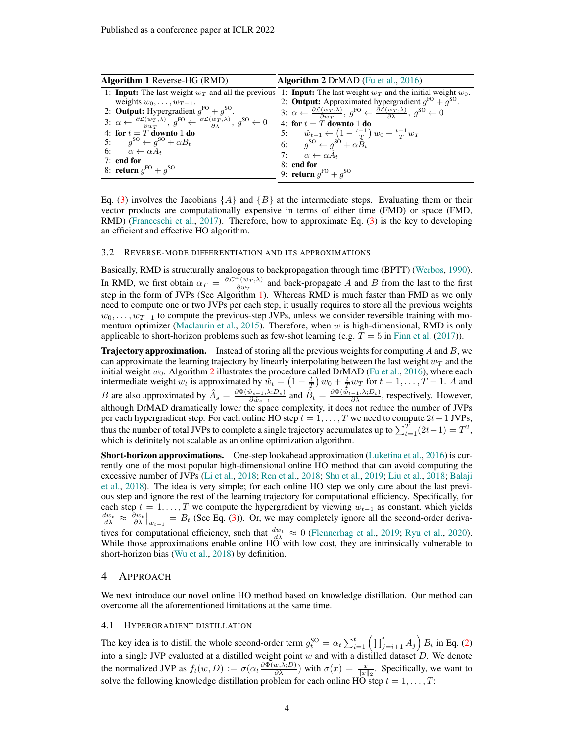<span id="page-3-1"></span><span id="page-3-0"></span>

| <b>Algorithm 2</b> DrMAD (Fu et al., $2016$ )                                                                                                                                                                                  |
|--------------------------------------------------------------------------------------------------------------------------------------------------------------------------------------------------------------------------------|
| 1: <b>Input:</b> The last weight $w_T$ and all the previous 1: <b>Input:</b> The last weight $w_T$ and the initial weight $w_0$ .                                                                                              |
| 2: <b>Output:</b> Approximated hypergradient $q^{FO} + q^{SO}$ .                                                                                                                                                               |
| 3: $\alpha \leftarrow \frac{\partial \mathcal{L}(w_T, \lambda)}{\partial w_T}$ , $g^{\text{FO}} \leftarrow \frac{\partial \mathcal{L}(w_T, \lambda)}{\partial \lambda}$ , $g^{\text{SO}} \leftarrow 0$                         |
| 3: $\alpha \leftarrow \frac{\partial \mathcal{L}(w_T, \lambda)}{\partial w_T}, g^{\text{FO}} \leftarrow \frac{\partial \mathcal{L}(w_T, \lambda)}{\partial \lambda}, g^{\text{SO}} \leftarrow 0$<br>4: for $t = T$ downto 1 do |
| 5: $\hat{w}_{t-1} \leftarrow \left(1 - \frac{t-1}{T}\right) w_0 + \frac{t-1}{T} w_T$                                                                                                                                           |
| 6: $g^{SO} \leftarrow g^{SO} + \alpha \hat{B}_t$<br>7: $\alpha \leftarrow \alpha \hat{A}_t$                                                                                                                                    |
|                                                                                                                                                                                                                                |
| 8: end for                                                                                                                                                                                                                     |
| 9: <b>return</b> $q^{FO} + q^{SO}$                                                                                                                                                                                             |
|                                                                                                                                                                                                                                |

Eq. [\(3\)](#page-2-0) involves the Jacobians  $\{A\}$  and  $\{B\}$  at the intermediate steps. Evaluating them or their vector products are computationally expensive in terms of either time (FMD) or space (FMD, RMD) [\(Franceschi et al.,](#page-9-3) [2017\)](#page-9-3). Therefore, how to approximate Eq. [\(3\)](#page-2-0) is the key to developing an efficient and effective HO algorithm.

#### 3.2 REVERSE-MODE DIFFERENTIATION AND ITS APPROXIMATIONS

Basically, RMD is structurally analogous to backpropagation through time (BPTT) [\(Werbos,](#page-11-3) [1990\)](#page-11-3). In RMD, we first obtain  $\alpha_T = \frac{\partial \mathcal{L}^{\text{val}}(w_T, \lambda)}{\partial w_T}$  $\frac{(w_T,\lambda)}{\partial w_T}$  and back-propagate A and B from the last to the first step in the form of JVPs (See Algorithm [1\)](#page-3-0). Whereas RMD is much faster than FMD as we only need to compute one or two JVPs per each step, it usually requires to store all the previous weights  $w_0, \ldots, w_{T-1}$  to compute the previous-step JVPs, unless we consider reversible training with mo-mentum optimizer [\(Maclaurin et al.,](#page-10-5) [2015\)](#page-10-5). Therefore, when w is high-dimensional, RMD is only applicable to short-horizon problems such as few-shot learning (e.g.  $T = 5$  in [Finn et al.](#page-9-8) [\(2017\)](#page-9-8)).

**Trajectory approximation.** Instead of storing all the previous weights for computing A and B, we can approximate the learning trajectory by linearly interpolating between the last weight  $w_T$  and the initial weight  $w_0$ . Algorithm [2](#page-3-1) illustrates the procedure called DrMAD [\(Fu et al.,](#page-9-4) [2016\)](#page-9-4), where each intermediate weight  $w_t$  is approximated by  $\hat{w}_t = \left(1 - \frac{t}{T}\right)w_0 + \frac{t}{T}w_T$  for  $t = 1, \ldots, T - 1$ . A and B are also approximated by  $\hat{A}_s = \frac{\partial \Phi(\hat{w}_{s-1}, \lambda; D_s)}{\partial \hat{w}_{s-1}}$  $\frac{\hat{v}_{s-1},\lambda;D_s)}{\partial \hat{v}_{s-1}}$  and  $\hat{B}_t = \frac{\partial \Phi(\hat{w}_{t-1},\lambda;D_t)}{\partial \lambda}$ , respectively. However, although DrMAD dramatically lower the space complexity, it does not reduce the number of JVPs per each hypergradient step. For each online HO step  $t = 1, \ldots, T$  we need to compute  $2t-1$  JVPs, thus the number of total JVPs to complete a single trajectory accumulates up to  $\sum_{t=1}^{T} (2t-1) = T^2$ , which is definitely not scalable as an online optimization algorithm.

Short-horizon approximations. One-step lookahead approximation [\(Luketina et al.,](#page-10-4) [2016\)](#page-10-4) is currently one of the most popular high-dimensional online HO method that can avoid computing the excessive number of JVPs [\(Li et al.,](#page-10-13) [2018;](#page-10-13) [Ren et al.,](#page-10-14) [2018;](#page-10-14) [Shu et al.,](#page-10-15) [2019;](#page-10-15) [Liu et al.,](#page-10-16) [2018;](#page-10-16) [Balaji](#page-9-10) [et al.,](#page-9-10) [2018\)](#page-9-10). The idea is very simple; for each online HO step we only care about the last previous step and ignore the rest of the learning trajectory for computational efficiency. Specifically, for each step  $t = 1, ..., T$  we compute the hypergradient by viewing  $w_{t-1}$  as constant, which yields  $\frac{dw_t}{d\lambda} \approx \frac{\partial w_t}{\partial \lambda}\Big|_{w_{t-1}} = B_t$  (See Eq. [\(3\)](#page-2-0)). Or, we may completely ignore all the second-order derivatives for computational efficiency, such that  $\frac{dw_t}{d\lambda} \approx 0$  [\(Flennerhag et al.,](#page-9-0) [2019;](#page-9-0) [Ryu et al.,](#page-10-12) [2020\)](#page-10-12). While those approximations enable online HO with low cost, they are intrinsically vulnerable to short-horizon bias [\(Wu et al.,](#page-11-4) [2018\)](#page-11-4) by definition.

## 4 APPROACH

We next introduce our novel online HO method based on knowledge distillation. Our method can overcome all the aforementioned limitations at the same time.

#### 4.1 HYPERGRADIENT DISTILLATION

The key idea is to distill the whole second-order term  $g_t^{\text{SO}} = \alpha_t \sum_{i=1}^t \left( \prod_{j=i+1}^t A_j \right) B_i$  in Eq. [\(2\)](#page-2-1) into a single JVP evaluated at a distilled weight point w and with a distilled dataset  $D$ . We denote the normalized JVP as  $f_t(w, D) := \sigma(\alpha_t \frac{\partial \Phi(w, \lambda; D)}{\partial \lambda})$  with  $\sigma(x) = \frac{x}{\|x\|_2}$ . Specifically, we want to solve the following knowledge distillation problem for each online HO step  $t = 1, \ldots, T$ :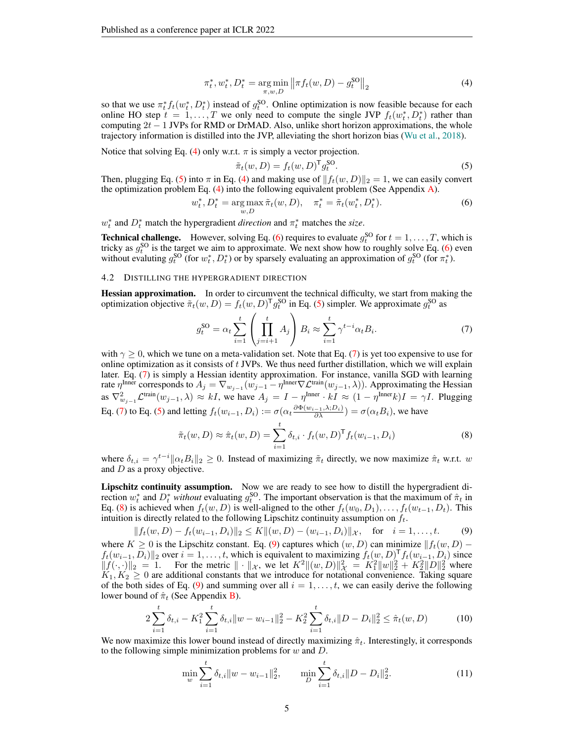$$
\pi_t^*, w_t^*, D_t^* = \underset{\pi, w, D}{\arg \min} \left\| \pi f_t(w, D) - g_t^{\text{SO}} \right\|_2 \tag{4}
$$

so that we use  $\pi_t^* f_t(w_t^*, D_t^*)$  instead of  $g_t^{SO}$ . Online optimization is now feasible because for each online HO step  $t = 1, ..., T$  we only need to compute the single JVP  $f_t(w_t^*, D_t^*)$  rather than computing  $2t - 1$  JVPs for RMD or DrMAD. Also, unlike short horizon approximations, the whole trajectory information is distilled into the JVP, alleviating the short horizon bias [\(Wu et al.,](#page-11-4) [2018\)](#page-11-4).

Notice that solving Eq. [\(4\)](#page-4-0) only w.r.t.  $\pi$  is simply a vector projection.

<span id="page-4-2"></span><span id="page-4-1"></span><span id="page-4-0"></span>
$$
\tilde{\pi}_t(w, D) = f_t(w, D)^{\mathsf{T}} g_t^{\mathsf{SO}}.
$$
\n<sup>(5)</sup>

Then, plugging Eq. [\(5\)](#page-4-1) into  $\pi$  in Eq. [\(4\)](#page-4-0) and making use of  $||f_t(w, D)||_2 = 1$ , we can easily convert the optimization problem Eq. [\(4\)](#page-4-0) into the following equivalent problem (See Appendix [A\)](#page-12-0).

$$
w_t^*, D_t^* = \underset{w,D}{\arg \max} \, \tilde{\pi}_t(w, D), \quad \pi_t^* = \tilde{\pi}_t(w_t^*, D_t^*). \tag{6}
$$

 $w_t^*$  and  $D_t^*$  match the hypergradient *direction* and  $\pi_t^*$  matches the *size*.

**Technical challenge.** However, solving Eq. [\(6\)](#page-4-2) requires to evaluate  $g_t^{SO}$  for  $t = 1, ..., T$ , which is tricky as  $g_t^{\text{SO}}$  is the target we aim to approximate. We next show how to roughly solve Eq. [\(6\)](#page-4-2) even without evaluting  $g_t^{SO}$  (for  $w_t^*$ ,  $D_t^*$ ) or by sparsely evaluating an approximation of  $g_t^{SO}$  (for  $\pi_t^*$ ).

## <span id="page-4-7"></span>4.2 DISTILLING THE HYPERGRADIENT DIRECTION

Hessian approximation. In order to circumvent the technical difficulty, we start from making the optimization objective  $\tilde{\pi}_t(w, D) = f_t(w, D)^\mathsf{T} g_t^{\mathsf{SO}}$  in Eq. [\(5\)](#page-4-1) simpler. We approximate  $g_t^{\mathsf{SO}}$  as

<span id="page-4-3"></span>
$$
g_t^{\text{SO}} = \alpha_t \sum_{i=1}^t \left( \prod_{j=i+1}^t A_j \right) B_i \approx \sum_{i=1}^t \gamma^{t-i} \alpha_t B_i. \tag{7}
$$

with  $\gamma \geq 0$ , which we tune on a meta-validation set. Note that Eq. [\(7\)](#page-4-3) is yet too expensive to use for online optimization as it consists of  $t$  JVPs. We thus need further distillation, which we will explain later. Eq. [\(7\)](#page-4-3) is simply a Hessian identity approximation. For instance, vanilla SGD with learning rate  $\eta^{\text{Inner}}$  corresponds to  $A_j = \nabla_{w_{j-1}}(w_{j-1} - \eta^{\text{Inner}} \nabla \mathcal{L}^{\text{train}}(w_{j-1}, \lambda))$ . Approximating the Hessian as  $\nabla_{w_{j-1}}^2 \mathcal{L}^{\text{train}}(w_{j-1}, \lambda) \approx kI$ , we have  $A_j = I - \eta^{\text{Inner}} \cdot kI \approx (1 - \eta^{\text{Inner}} k)I = \gamma I$ . Plugging Eq. [\(7\)](#page-4-3) to Eq. [\(5\)](#page-4-1) and letting  $f_t(w_{i-1}, D_i) := \sigma(\alpha_t \frac{\partial \Phi(w_{i-1}, \lambda; D_i)}{\partial \lambda}) = \sigma(\alpha_t B_i)$ , we have

<span id="page-4-5"></span><span id="page-4-4"></span>
$$
\tilde{\pi}_t(w, D) \approx \hat{\pi}_t(w, D) = \sum_{i=1}^t \delta_{t,i} \cdot f_t(w, D)^\mathsf{T} f_t(w_{i-1}, D_i)
$$
\n(8)

where  $\delta_{t,i} = \gamma^{t-i} ||\alpha_t B_i||_2 \ge 0$ . Instead of maximizing  $\tilde{\pi}_t$  directly, we now maximize  $\hat{\pi}_t$  w.r.t. w and  $D$  as a proxy objective.

Lipschitz continuity assumption. Now we are ready to see how to distill the hypergradient direction  $w_t^*$  and  $D_t^*$  *without* evaluating  $g_t^{SO}$ . The important observation is that the maximum of  $\hat{\pi}_t$  in Eq. [\(8\)](#page-4-4) is achieved when  $f_t(w, D)$  is well-aligned to the other  $f_t(w_0, D_1), \ldots, f_t(w_{t-1}, D_t)$ . This intuition is directly related to the following Lipschitz continuity assumption on  $f_t$ .

$$
||f_t(w, D) - f_t(w_{i-1}, D_i)||_2 \le K||(w, D) - (w_{i-1}, D_i)||_{\mathcal{X}}, \text{ for } i = 1, ..., t.
$$
 (9)

where K ≥ 0 is the Lipschitz constant. Eq. [\(9\)](#page-4-5) captures which  $(w, D)$  can minimize  $|| f_t(w, D)$  $f_t(w_{i-1}, D_i)$ ||2 over  $i = 1, \ldots, t$ , which is equivalent to maximizing  $f_t(w, D)^\mathsf{T} f_t(w_{i-1}, D_i)$  since  $||f(\cdot, \cdot)||_2 = 1$ . For the metric  $|| \cdot ||_{\mathcal{X}}$ , we let  $K^2 ||(w, D)||_{\mathcal{X}}^2 = K_1^2 ||w||_2^2 + K_2^2 ||D||_2^2$  where  $K_1, K_2 \geq 0$  are additional constants that we introduce for notational convenience. Taking square of the both sides of Eq. [\(9\)](#page-4-5) and summing over all  $i = 1, \ldots, t$ , we can easily derive the following lower bound of  $\hat{\pi}_t$  (See Appendix **B**).

$$
2\sum_{i=1}^{t} \delta_{t,i} - K_1^2 \sum_{i=1}^{t} \delta_{t,i} \|w - w_{i-1}\|_2^2 - K_2^2 \sum_{i=1}^{t} \delta_{t,i} \|D - D_i\|_2^2 \leq \hat{\pi}_t(w, D) \tag{10}
$$

We now maximize this lower bound instead of directly maximizing  $\hat{\pi}_t$ . Interestingly, it corresponds to the following simple minimization problems for  $w$  and  $D$ .

<span id="page-4-8"></span><span id="page-4-6"></span>
$$
\min_{w} \sum_{i=1}^{t} \delta_{t,i} \|w - w_{i-1}\|_{2}^{2}, \qquad \min_{D} \sum_{i=1}^{t} \delta_{t,i} \|D - D_{i}\|_{2}^{2}.
$$
\n(11)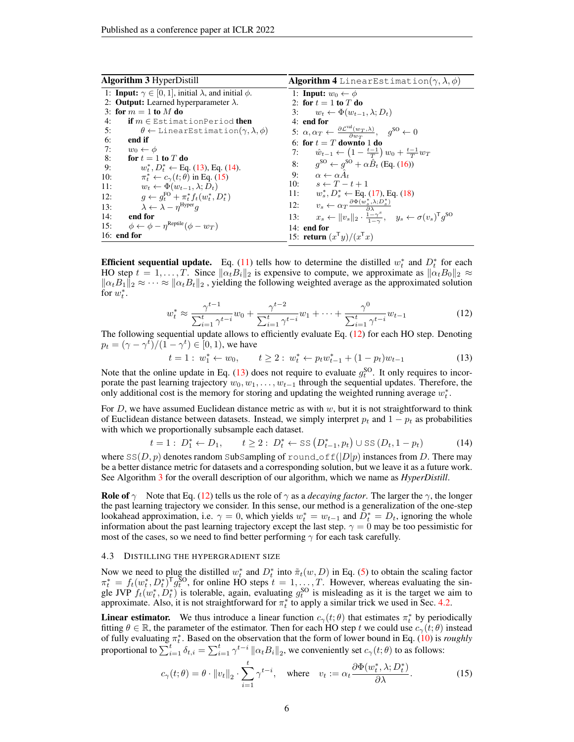<span id="page-5-5"></span><span id="page-5-4"></span>

| <b>Algorithm 3 HyperDistill</b>                                                 | <b>Algorithm 4</b> LinearEstimation( $\gamma$ , $\lambda$ , $\phi$ )                                                                    |
|---------------------------------------------------------------------------------|-----------------------------------------------------------------------------------------------------------------------------------------|
| 1: <b>Input:</b> $\gamma \in [0, 1]$ , initial $\lambda$ , and initial $\phi$ . | 1: <b>Input:</b> $w_0 \leftarrow \phi$                                                                                                  |
| 2: <b>Output:</b> Learned hyperparameter $\lambda$ .                            | 2: for $t=1$ to T do                                                                                                                    |
| 3: for $m = 1$ to M do                                                          | $w_t \leftarrow \Phi(w_{t-1}, \lambda; D_t)$<br>3:                                                                                      |
| 4:<br><b>if</b> $m \in \mathbb{E}$ stimationPeriod <b>then</b>                  | $4:$ end for                                                                                                                            |
| 5:<br>$\theta \leftarrow$ Linear Estimation $(\gamma, \lambda, \phi)$           | 5: $\alpha, \alpha_T \leftarrow \frac{\partial \mathcal{L}^{\text{val}}(w_T, \lambda)}{\partial w_T}, \quad g^{\text{SO}} \leftarrow 0$ |
| 6:<br>end if                                                                    | 6: for $t = T$ downto 1 do                                                                                                              |
| 7:<br>$w_0 \leftarrow \phi$                                                     | 7: $\hat{w}_{t-1} \leftarrow \left(1 - \frac{t-1}{T}\right) w_0 + \frac{t-1}{T} w_T$                                                    |
| 8:<br>for $t=1$ to $T$ do                                                       | 8: $g^{SO} \leftarrow g^{SO} + \alpha \hat{B}_t$ (Eq. (16))                                                                             |
| 9:<br>$w_t^*, D_t^* \leftarrow$ Eq. (13), Eq. (14).                             |                                                                                                                                         |
| $\pi_t^* \leftarrow c_\gamma(t;\theta)$ in Eq. (15)<br>10:                      | 9: $\alpha \leftarrow \alpha \hat{A}_t$                                                                                                 |
| $w_t \leftarrow \Phi(w_{t-1}, \lambda; D_t)$<br>11:                             | 10: $s \leftarrow T - t + 1$                                                                                                            |
| $q \leftarrow q_t^{\text{FO}} + \pi_t^* f_t(w_t^*, D_t^*)$<br>12:               | 11: $w_s^*, D_s^* \leftarrow$ Eq. (17), Eq. (18)                                                                                        |
| $\lambda \leftarrow \lambda - \eta^{\text{Hyper}} q$<br>13:                     | 12: $v_s \leftarrow \alpha_T \frac{\partial \Phi(w_s^*, \lambda; D_s^*)}{\partial \lambda}$                                             |
| 14:<br>end for                                                                  | $x_s \leftarrow \ v_s\ _2 \cdot \frac{1-\gamma^s}{1-\gamma}, \quad y_s \leftarrow \sigma(v_s)^{\mathsf{T}} g^{\mathsf{SO}}$<br>13:      |
| $\phi \leftarrow \phi - n^{\text{Reptide}}(\phi - w_T)$<br>15:                  | $14:$ end for                                                                                                                           |
| $16:$ end for                                                                   | 15: return $(x^{\mathsf{T}}y)/(x^{\mathsf{T}}x)$                                                                                        |

**Efficient sequential update.** Eq. [\(11\)](#page-4-6) tells how to determine the distilled  $w_t^*$  and  $D_t^*$  for each HO step  $t = 1, \ldots, T$ . Since  $\|\alpha_t B_i\|_2$  is expensive to compute, we approximate as  $\|\alpha_t B_0\|_2 \approx$  $\|\alpha_t B_1\|_2 \approx \cdots \approx \|\alpha_t B_t\|_2$ , yielding the following weighted average as the approximated solution for  $w_t^*$ .

<span id="page-5-3"></span>
$$
w_t^* \approx \frac{\gamma^{t-1}}{\sum_{i=1}^t \gamma^{t-i}} w_0 + \frac{\gamma^{t-2}}{\sum_{i=1}^t \gamma^{t-i}} w_1 + \dots + \frac{\gamma^0}{\sum_{i=1}^t \gamma^{t-i}} w_{t-1}
$$
(12)

The following sequential update allows to efficiently evaluate Eq. [\(12\)](#page-5-3) for each HO step. Denoting  $p_t = (\gamma - \gamma^t)/(1 - \gamma^t) \in [0, 1)$ , we have

<span id="page-5-1"></span><span id="page-5-0"></span>
$$
t = 1: w_1^* \leftarrow w_0, \qquad t \ge 2: w_t^* \leftarrow p_t w_{t-1}^* + (1 - p_t) w_{t-1}
$$
 (13)

Note that the online update in Eq. [\(13\)](#page-5-0) does not require to evaluate  $g_t^{\text{SO}}$ . It only requires to incorporate the past learning trajectory  $w_0, w_1, \ldots, w_{t-1}$  through the sequential updates. Therefore, the only additional cost is the memory for storing and updating the weighted running average  $w_t^*$ .

For D, we have assumed Euclidean distance metric as with  $w$ , but it is not straightforward to think of Euclidean distance between datasets. Instead, we simply interpret  $p_t$  and  $1 - p_t$  as probabilities with which we proportionally subsample each dataset.

$$
t = 1: D_1^* \leftarrow D_1, \qquad t \ge 2: D_t^* \leftarrow \text{SS}(D_{t-1}^*, p_t) \cup \text{SS}(D_t, 1 - p_t)
$$
 (14)

where  $SS(D, p)$  denotes random SubSampling of round of  $f(|D|p)$  instances from D. There may be a better distance metric for datasets and a corresponding solution, but we leave it as a future work. See Algorithm [3](#page-5-4) for the overall description of our algorithm, which we name as *HyperDistill*.

**Role of**  $\gamma$  Note that Eq. [\(12\)](#page-5-3) tells us the role of  $\gamma$  as a *decaying factor*. The larger the  $\gamma$ , the longer the past learning trajectory we consider. In this sense, our method is a generalization of the one-step lookahead approximation, i.e.  $\gamma = 0$ , which yields  $w_t^* = w_{t-1}$  and  $\overline{D}_t^* = D_t$ , ignoring the whole information about the past learning trajectory except the last step.  $\gamma = 0$  may be too pessimistic for most of the cases, so we need to find better performing  $\gamma$  for each task carefully.

### 4.3 DISTILLING THE HYPERGRADIENT SIZE

Now we need to plug the distilled  $w_t^*$  and  $D_t^*$  into  $\tilde{\pi}_t(w, D)$  in Eq. [\(5\)](#page-4-1) to obtain the scaling factor Now we need to plug the distinct  $w_t$  and  $D_t$  into  $\pi_t(w, D)$  in Eq. (5) to obtain the scaling factor  $\pi_t^* = f_t(w_t^*, D_t^*)^T g_t^{\text{SO}}$ , for online HO steps  $t = 1, ..., T$ . However, whereas evaluating the single JVP  $f_t(w_t^*, D_t^*)$  is tolerable, again, evaluating  $g_t^{SO}$  is misleading as it is the target we aim to approximate. Also, it is not straightforward for  $\pi_t^*$  to apply a similar trick we used in Sec. [4.2.](#page-4-7)

**Linear estimator.** We thus introduce a linear function  $c_\gamma(t;\theta)$  that estimates  $\pi_t^*$  by periodically fitting  $\theta \in \mathbb{R}$ , the parameter of the estimator. Then for each HO step t we could use  $c_{\gamma}(t; \theta)$  instead of fully evaluating  $\pi_t^*$ . Based on the observation that the form of lower bound in Eq. [\(10\)](#page-4-8) is *roughly* proportional to  $\sum_{i=1}^t \delta_{t,i} = \sum_{i=1}^t \gamma^{t-i} ||\alpha_t B_i||_2$ , we conveniently set  $c_\gamma(t;\theta)$  to as follows:

<span id="page-5-2"></span>
$$
c_{\gamma}(t; \theta) = \theta \cdot ||v_t||_2 \cdot \sum_{i=1}^{t} \gamma^{t-i}, \quad \text{where} \quad v_t := \alpha_t \frac{\partial \Phi(w_t^*, \lambda; D_t^*)}{\partial \lambda}.
$$
 (15)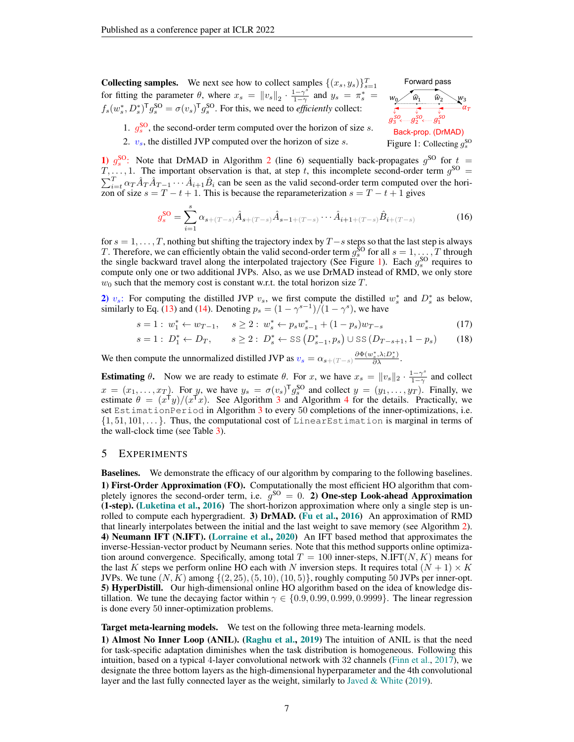**Collecting samples.** We next see how to collect samples  $\{(x_s, y_s)\}_{s=1}^T$ for fitting the parameter  $\theta$ , where  $x_s = ||v_s||_2 \cdot \frac{1-\gamma^s}{1-\gamma^s}$  $\frac{1-\gamma^s}{1-\gamma}$  and  $y_s = \pi_s^* =$  $f_s(w_s^*, D_s^*)^\mathsf{T} g_s^{\mathsf{SO}} = \sigma(v_s)^\mathsf{T} g_s^{\mathsf{SO}}$ . For this, we need to *efficiently* collect:



1.  $g_s^{\text{SO}}$ , the second-order term computed over the horizon of size s.

<span id="page-6-3"></span><span id="page-6-2"></span><span id="page-6-1"></span><span id="page-6-0"></span>

2.  $v_s$ , the distilled JVP computed over the horizon of size s.

1)  $g_s^{\text{SO}}$ : Note that DrMAD in Algorithm [2](#page-3-1) (line 6) sequentially back-propagates  $g^{\text{SO}}$  for  $t =$  $T, \ldots, 1$ . The important observation is that, at step t, this incomplete second-order term  $g^{\text{SO}} =$  $\sum_{i=t}^{T} \alpha_T \hat{A}_T \hat{A}_{T-1} \cdots \hat{A}_{i+1} \hat{B}_i$  can be seen as the valid second-order term computed over the horizon of size  $s = T - t + 1$ . This is because the reparameterization  $s = T - t + 1$  gives

$$
g_s^{\text{SO}} = \sum_{i=1}^s \alpha_{s+(T-s)} \hat{A}_{s+(T-s)} \hat{A}_{s-1+(T-s)} \cdots \hat{A}_{i+1+(T-s)} \hat{B}_{i+(T-s)}
$$
(16)

for  $s = 1, \ldots, T$ , nothing but shifting the trajectory index by  $T - s$  steps so that the last step is always T. Therefore, we can efficiently obtain the valid second-order term  $g_s^{\text{SO}}$  for all  $s = 1, ..., T$  through the single backward travel along the interpolated trajectory (See Figure [1\)](#page-6-3). Each  $g_s^{\text{SO}}$  requires to compute only one or two additional JVPs. Also, as we use DrMAD instead of RMD, we only store  $w_0$  such that the memory cost is constant w.r.t. the total horizon size T.

2)  $v_s$ : For computing the distilled JVP  $v_s$ , we first compute the distilled  $w_s^*$  and  $D_s^*$  as below, similarly to Eq. [\(13\)](#page-5-0) and [\(14\)](#page-5-1). Denoting  $p_s = (1 - \gamma^{s-1})/(1 - \gamma^s)$ , we have

$$
s = 1: w_1^* \leftarrow w_{T-1}, \quad s \ge 2: w_s^* \leftarrow p_s w_{s-1}^* + (1 - p_s) w_{T-s}
$$
\n
$$
(17)
$$

$$
s = 1: D_1^* \leftarrow D_T, \qquad s \ge 2: D_s^* \leftarrow \text{SS} \left( D_{s-1}^*, p_s \right) \cup \text{SS} \left( D_{T-s+1}, 1 - p_s \right) \tag{18}
$$

We then compute the unnormalized distilled JVP as  $v_s = \alpha_{s+(T-s)} \frac{\partial \Phi(w_s^*, \lambda; D_s^*)}{\partial \lambda}$ .

**Estimating**  $\theta$ **.** Now we are ready to estimate  $\theta$ . For x, we have  $x_s = ||v_s||_2 \cdot \frac{1-\gamma^s}{1-\gamma}$  $\frac{1-\gamma^2}{1-\gamma}$  and collect  $x = (x_1, \dots, x_T)$ . For y, we have  $y_s = \sigma(v_s)^T g_s^{SO}$  and collect  $y = (y_1, \dots, y_T)$ . Finally, we estimate  $\theta = (x^{\dagger}y)/(x^{\dagger}x)$ . See Algorithm [3](#page-5-4) and Algorithm [4](#page-5-5) for the details. Practically, we set EstimationPeriod in Algorithm [3](#page-5-4) to every 50 completions of the inner-optimizations, i.e.  $\{1, 51, 101, \ldots\}$ . Thus, the computational cost of LinearEstimation is marginal in terms of the wall-clock time (see Table [3\)](#page-14-0).

### <span id="page-6-4"></span>5 EXPERIMENTS

Baselines. We demonstrate the efficacy of our algorithm by comparing to the following baselines. 1) First-Order Approximation (FO). Computationally the most efficient HO algorithm that completely ignores the second-order term, i.e.  $g^{SO} = 0$ . 2) One-step Look-ahead Approximation (1-step). [\(Luketina et al.,](#page-10-4) [2016\)](#page-10-4) The short-horizon approximation where only a single step is un-rolled to compute each hypergradient. 3) DrMAD. [\(Fu et al.,](#page-9-4) [2016\)](#page-9-4) An approximation of RMD that linearly interpolates between the initial and the last weight to save memory (see Algorithm [2\)](#page-3-1). 4) Neumann IFT (N.IFT). [\(Lorraine et al.,](#page-10-7) [2020\)](#page-10-7) An IFT based method that approximates the inverse-Hessian-vector product by Neumann series. Note that this method supports online optimization around convergence. Specifically, among total  $T = 100$  inner-steps, N.IFT $(N, K)$  means for the last K steps we perform online HO each with N inversion steps. It requires total  $(N + 1) \times K$ JVPs. We tune  $(N, K)$  among  $\{(2, 25), (5, 10), (10, 5)\}$ , roughly computing 50 JVPs per inner-opt. 5) HyperDistill. Our high-dimensional online HO algorithm based on the idea of knowledge distillation. We tune the decaying factor within  $\gamma \in \{0.9, 0.99, 0.999, 0.9999\}$ . The linear regression is done every 50 inner-optimization problems.

Target meta-learning models. We test on the following three meta-learning models.

1) Almost No Inner Loop (ANIL). [\(Raghu et al.,](#page-10-2) [2019\)](#page-10-2) The intuition of ANIL is that the need for task-specific adaptation diminishes when the task distribution is homogeneous. Following this intuition, based on a typical 4-layer convolutional network with 32 channels [\(Finn et al.,](#page-9-8) [2017\)](#page-9-8), we designate the three bottom layers as the high-dimensional hyperparameter and the 4th convolutional layer and the last fully connected layer as the weight, similarly to [Javed & White](#page-9-11) [\(2019\)](#page-9-11).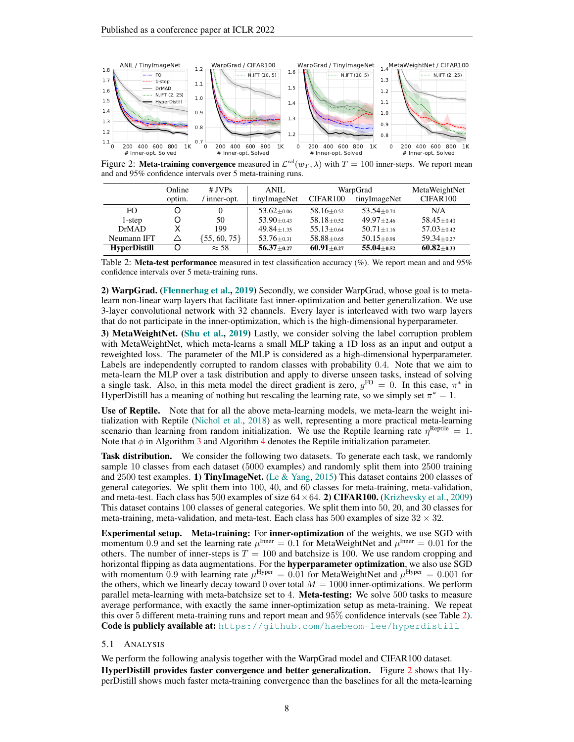

<span id="page-7-1"></span>Figure 2: Meta-training convergence measured in  $\mathcal{L}^{\text{val}}(w_T, \lambda)$  with  $T = 100$  inner-steps. We report mean and and 95% confidence intervals over 5 meta-training runs.

|                     | Online | $#$ JVPs         | ANIL               | WarpGrad                      | MetaWeightNet    |                  |
|---------------------|--------|------------------|--------------------|-------------------------------|------------------|------------------|
|                     | optim. | inner-opt.       | tinyImageNet       | CIFAR <sub>100</sub>          | tinyImageNet     | CIFAR100         |
| FO.                 |        | $\theta$         | $53.62 + 0.06$     | $58.16 \pm 0.52$              | $53.54 \pm 0.74$ | N/A              |
| 1-step              | O      | 50.              | $53.90 \pm 0.43$   | $58.18 + 0.52$                | $49.97 \pm 2.46$ | $58.45 \pm 0.40$ |
| <b>DrMAD</b>        |        | 199              | $49.84 \pm 1.35$   | $55.13 \pm 0.64$              | $50.71 + 1.16$   | $57.03 \pm 0.42$ |
| Neumann IFT         | ∧      | $\{55, 60, 75\}$ | $53.76 \pm 0.31$   | $58.88 + 0.65$                | $50.15 \pm 0.98$ | $59.34 \pm 0.27$ |
| <b>HyperDistill</b> | 0      | $\approx$ 58     | $56.37_{\pm 0.27}$ | $60.91 \scriptstyle \pm 0.27$ | $55.04 \pm 0.52$ | $60.82 + 0.33$   |

<span id="page-7-0"></span>Table 2: Meta-test performance measured in test classification accuracy  $(\%)$ . We report mean and and 95% confidence intervals over 5 meta-training runs.

2) WarpGrad. [\(Flennerhag et al.,](#page-9-0) [2019\)](#page-9-0) Secondly, we consider WarpGrad, whose goal is to metalearn non-linear warp layers that facilitate fast inner-optimization and better generalization. We use 3-layer convolutional network with 32 channels. Every layer is interleaved with two warp layers that do not participate in the inner-optimization, which is the high-dimensional hyperparameter.

3) MetaWeightNet. [\(Shu et al.,](#page-10-15) [2019\)](#page-10-15) Lastly, we consider solving the label corruption problem with MetaWeightNet, which meta-learns a small MLP taking a 1D loss as an input and output a reweighted loss. The parameter of the MLP is considered as a high-dimensional hyperparameter. Labels are independently corrupted to random classes with probability 0.4. Note that we aim to meta-learn the MLP over a task distribution and apply to diverse unseen tasks, instead of solving a single task. Also, in this meta model the direct gradient is zero,  $g^{FO} = 0$ . In this case,  $\pi^*$  in HyperDistill has a meaning of nothing but rescaling the learning rate, so we simply set  $\pi^* = 1$ .

Use of Reptile. Note that for all the above meta-learning models, we meta-learn the weight initialization with Reptile [\(Nichol et al.,](#page-10-17) [2018\)](#page-10-17) as well, representing a more practical meta-learning scenario than learning from random initialization. We use the Reptile learning rate  $\eta^{\text{Repile}} = 1$ . Note that  $\phi$  in Algorithm [3](#page-5-4) and Algorithm [4](#page-5-5) denotes the Reptile initialization parameter.

**Task distribution.** We consider the following two datasets. To generate each task, we randomly sample 10 classes from each dataset (5000 examples) and randomly split them into 2500 training and 2500 test examples. 1) TinyImageNet. [\(Le & Yang,](#page-9-12) [2015\)](#page-9-12) This dataset contains 200 classes of general categories. We split them into 100, 40, and 60 classes for meta-training, meta-validation, and meta-test. Each class has 500 examples of size  $64 \times 64$ . 2) CIFAR100. [\(Krizhevsky et al.,](#page-9-13) [2009\)](#page-9-13) This dataset contains 100 classes of general categories. We split them into 50, 20, and 30 classes for meta-training, meta-validation, and meta-test. Each class has 500 examples of size  $32 \times 32$ .

Experimental setup. Meta-training: For inner-optimization of the weights, we use SGD with momentum 0.9 and set the learning rate  $\mu^{\text{Inner}} = 0.1$  for MetaWeightNet and  $\mu^{\text{Inner}} = 0.01$  for the others. The number of inner-steps is  $T = 100$  and batchsize is 100. We use random cropping and horizontal flipping as data augmentations. For the **hyperparameter optimization**, we also use SGD with momentum 0.9 with learning rate  $\mu^{\rm Hyper} = 0.01$  for MetaWeightNet and  $\mu^{\rm Hyper} = 0.001$  for the others, which we linearly decay toward 0 over total  $M = 1000$  inner-optimizations. We perform parallel meta-learning with meta-batchsize set to 4. Meta-testing: We solve 500 tasks to measure average performance, with exactly the same inner-optimization setup as meta-training. We repeat this over 5 different meta-training runs and report mean and 95% confidence intervals (see Table [2\)](#page-7-0). Code is publicly available at: <https://github.com/haebeom-lee/hyperdistill>

#### 5.1 ANALYSIS

We perform the following analysis together with the WarpGrad model and CIFAR100 dataset.

HyperDistill provides faster convergence and better generalization. Figure [2](#page-7-1) shows that HyperDistill shows much faster meta-training convergence than the baselines for all the meta-learning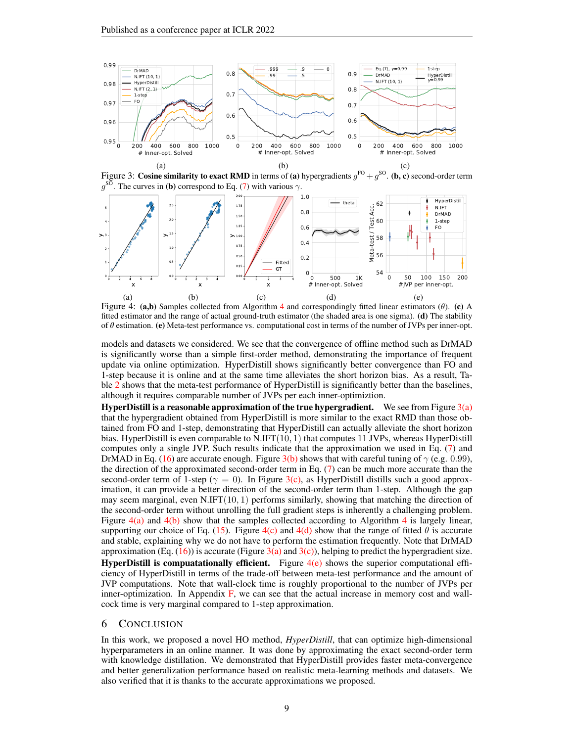

<span id="page-8-2"></span><span id="page-8-1"></span><span id="page-8-0"></span>Figure 3: Cosine similarity to exact RMD in terms of (a) hypergradients  $g^{FO} + g^{SO}$ . (b, c) second-order term  $g^{\text{SO}}$ . The curves in (b) correspond to Eq. [\(7\)](#page-4-3) with various  $\gamma$ .



<span id="page-8-7"></span><span id="page-8-6"></span><span id="page-8-5"></span><span id="page-8-4"></span><span id="page-8-3"></span>Figure [4](#page-5-5): (a,b) Samples collected from Algorithm 4 and correspondingly fitted linear estimators ( $\theta$ ). (c) A fitted estimator and the range of actual ground-truth estimator (the shaded area is one sigma). (d) The stability of  $\theta$  estimation. (e) Meta-test performance vs. computational cost in terms of the number of JVPs per inner-opt.

models and datasets we considered. We see that the convergence of offline method such as DrMAD is significantly worse than a simple first-order method, demonstrating the importance of frequent update via online optimization. HyperDistill shows significantly better convergence than FO and 1-step because it is online and at the same time alleviates the short horizon bias. As a result, Ta-ble [2](#page-7-0) shows that the meta-test performance of HyperDistill is significantly better than the baselines, although it requires comparable number of JVPs per each inner-optimiztion.

**HyperDistill is a reasonable approximation of the true hypergradient.** We see from Figure  $3(a)$ that the hypergradient obtained from HyperDistill is more similar to the exact RMD than those obtained from FO and 1-step, demonstrating that HyperDistill can actually alleviate the short horizon bias. HyperDistill is even comparable to N.IFT(10, 1) that computes 11 JVPs, whereas HyperDistill computes only a single JVP. Such results indicate that the approximation we used in Eq. [\(7\)](#page-4-3) and DrMAD in Eq. [\(16\)](#page-6-0) are accurate enough. Figure [3\(b\)](#page-8-1) shows that with careful tuning of  $\gamma$  (e.g. 0.99), the direction of the approximated second-order term in Eq.  $(7)$  can be much more accurate than the second-order term of 1-step ( $\gamma = 0$ ). In Figure [3\(c\),](#page-8-2) as HyperDistill distills such a good approximation, it can provide a better direction of the second-order term than 1-step. Although the gap may seem marginal, even  $N.\text{IFT}(10, 1)$  performs similarly, showing that matching the direction of the second-order term without unrolling the full gradient steps is inherently a challenging problem. Figure  $4(a)$  and  $4(b)$  show that the samples collected according to Algorithm [4](#page-5-5) is largely linear, supporting our choice of Eq. [\(15\)](#page-5-2). Figure  $4(c)$  and  $4(d)$  show that the range of fitted  $\theta$  is accurate and stable, explaining why we do not have to perform the estimation frequently. Note that DrMAD approximation (Eq.  $(16)$ ) is accurate (Figure [3\(a\)](#page-8-0) and [3\(c\)\)](#page-8-2), helping to predict the hypergradient size. **HyperDistill is compuatationally efficient.** Figure  $4(e)$  shows the superior computational efficiency of HyperDistill in terms of the trade-off between meta-test performance and the amount of JVP computations. Note that wall-clock time is roughly proportional to the number of JVPs per inner-optimization. In Appendix [F,](#page-14-1) we can see that the actual increase in memory cost and wallcock time is very marginal compared to 1-step approximation.

## 6 CONCLUSION

In this work, we proposed a novel HO method, *HyperDistill*, that can optimize high-dimensional hyperparameters in an online manner. It was done by approximating the exact second-order term with knowledge distillation. We demonstrated that HyperDistill provides faster meta-convergence and better generalization performance based on realistic meta-learning methods and datasets. We also verified that it is thanks to the accurate approximations we proposed.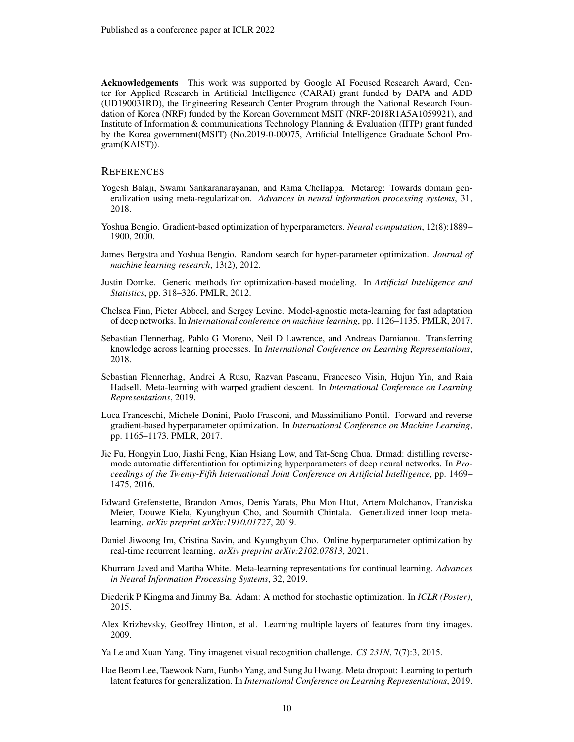Acknowledgements This work was supported by Google AI Focused Research Award, Center for Applied Research in Artificial Intelligence (CARAI) grant funded by DAPA and ADD (UD190031RD), the Engineering Research Center Program through the National Research Foundation of Korea (NRF) funded by the Korean Government MSIT (NRF-2018R1A5A1059921), and Institute of Information & communications Technology Planning & Evaluation (IITP) grant funded by the Korea government(MSIT) (No.2019-0-00075, Artificial Intelligence Graduate School Program(KAIST)).

## **REFERENCES**

- <span id="page-9-10"></span>Yogesh Balaji, Swami Sankaranarayanan, and Rama Chellappa. Metareg: Towards domain generalization using meta-regularization. *Advances in neural information processing systems*, 31, 2018.
- <span id="page-9-2"></span>Yoshua Bengio. Gradient-based optimization of hyperparameters. *Neural computation*, 12(8):1889– 1900, 2000.
- <span id="page-9-1"></span>James Bergstra and Yoshua Bengio. Random search for hyper-parameter optimization. *Journal of machine learning research*, 13(2), 2012.
- <span id="page-9-5"></span>Justin Domke. Generic methods for optimization-based modeling. In *Artificial Intelligence and Statistics*, pp. 318–326. PMLR, 2012.
- <span id="page-9-8"></span>Chelsea Finn, Pieter Abbeel, and Sergey Levine. Model-agnostic meta-learning for fast adaptation of deep networks. In *International conference on machine learning*, pp. 1126–1135. PMLR, 2017.
- <span id="page-9-15"></span>Sebastian Flennerhag, Pablo G Moreno, Neil D Lawrence, and Andreas Damianou. Transferring knowledge across learning processes. In *International Conference on Learning Representations*, 2018.
- <span id="page-9-0"></span>Sebastian Flennerhag, Andrei A Rusu, Razvan Pascanu, Francesco Visin, Hujun Yin, and Raia Hadsell. Meta-learning with warped gradient descent. In *International Conference on Learning Representations*, 2019.
- <span id="page-9-3"></span>Luca Franceschi, Michele Donini, Paolo Frasconi, and Massimiliano Pontil. Forward and reverse gradient-based hyperparameter optimization. In *International Conference on Machine Learning*, pp. 1165–1173. PMLR, 2017.
- <span id="page-9-4"></span>Jie Fu, Hongyin Luo, Jiashi Feng, Kian Hsiang Low, and Tat-Seng Chua. Drmad: distilling reversemode automatic differentiation for optimizing hyperparameters of deep neural networks. In *Proceedings of the Twenty-Fifth International Joint Conference on Artificial Intelligence*, pp. 1469– 1475, 2016.
- <span id="page-9-7"></span>Edward Grefenstette, Brandon Amos, Denis Yarats, Phu Mon Htut, Artem Molchanov, Franziska Meier, Douwe Kiela, Kyunghyun Cho, and Soumith Chintala. Generalized inner loop metalearning. *arXiv preprint arXiv:1910.01727*, 2019.
- <span id="page-9-6"></span>Daniel Jiwoong Im, Cristina Savin, and Kyunghyun Cho. Online hyperparameter optimization by real-time recurrent learning. *arXiv preprint arXiv:2102.07813*, 2021.
- <span id="page-9-11"></span>Khurram Javed and Martha White. Meta-learning representations for continual learning. *Advances in Neural Information Processing Systems*, 32, 2019.
- <span id="page-9-14"></span>Diederik P Kingma and Jimmy Ba. Adam: A method for stochastic optimization. In *ICLR (Poster)*, 2015.
- <span id="page-9-13"></span>Alex Krizhevsky, Geoffrey Hinton, et al. Learning multiple layers of features from tiny images. 2009.
- <span id="page-9-12"></span>Ya Le and Xuan Yang. Tiny imagenet visual recognition challenge. *CS 231N*, 7(7):3, 2015.
- <span id="page-9-9"></span>Hae Beom Lee, Taewook Nam, Eunho Yang, and Sung Ju Hwang. Meta dropout: Learning to perturb latent features for generalization. In *International Conference on Learning Representations*, 2019.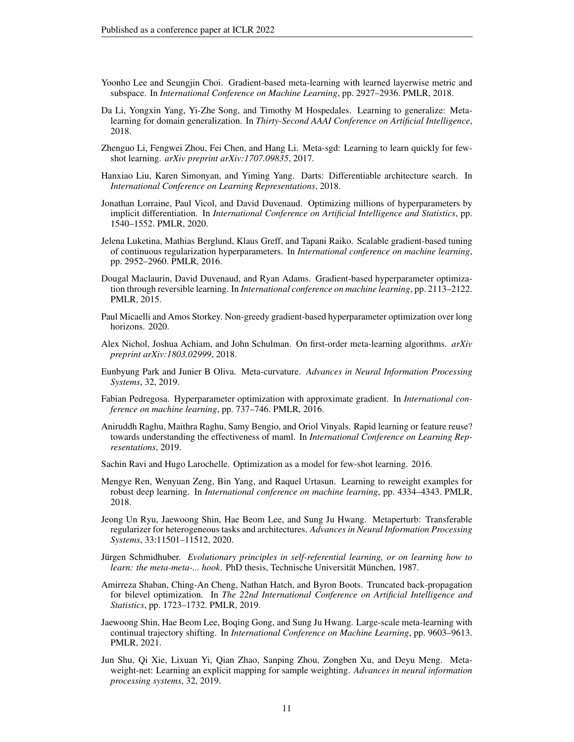- <span id="page-10-1"></span>Yoonho Lee and Seungjin Choi. Gradient-based meta-learning with learned layerwise metric and subspace. In *International Conference on Machine Learning*, pp. 2927–2936. PMLR, 2018.
- <span id="page-10-13"></span>Da Li, Yongxin Yang, Yi-Zhe Song, and Timothy M Hospedales. Learning to generalize: Metalearning for domain generalization. In *Thirty-Second AAAI Conference on Artificial Intelligence*, 2018.
- <span id="page-10-3"></span>Zhenguo Li, Fengwei Zhou, Fei Chen, and Hang Li. Meta-sgd: Learning to learn quickly for fewshot learning. *arXiv preprint arXiv:1707.09835*, 2017.
- <span id="page-10-16"></span>Hanxiao Liu, Karen Simonyan, and Yiming Yang. Darts: Differentiable architecture search. In *International Conference on Learning Representations*, 2018.
- <span id="page-10-7"></span>Jonathan Lorraine, Paul Vicol, and David Duvenaud. Optimizing millions of hyperparameters by implicit differentiation. In *International Conference on Artificial Intelligence and Statistics*, pp. 1540–1552. PMLR, 2020.
- <span id="page-10-4"></span>Jelena Luketina, Mathias Berglund, Klaus Greff, and Tapani Raiko. Scalable gradient-based tuning of continuous regularization hyperparameters. In *International conference on machine learning*, pp. 2952–2960. PMLR, 2016.
- <span id="page-10-5"></span>Dougal Maclaurin, David Duvenaud, and Ryan Adams. Gradient-based hyperparameter optimization through reversible learning. In *International conference on machine learning*, pp. 2113–2122. PMLR, 2015.
- <span id="page-10-9"></span>Paul Micaelli and Amos Storkey. Non-greedy gradient-based hyperparameter optimization over long horizons. 2020.
- <span id="page-10-17"></span>Alex Nichol, Joshua Achiam, and John Schulman. On first-order meta-learning algorithms. *arXiv preprint arXiv:1803.02999*, 2018.
- <span id="page-10-11"></span>Eunbyung Park and Junier B Oliva. Meta-curvature. *Advances in Neural Information Processing Systems*, 32, 2019.
- <span id="page-10-6"></span>Fabian Pedregosa. Hyperparameter optimization with approximate gradient. In *International conference on machine learning*, pp. 737–746. PMLR, 2016.
- <span id="page-10-2"></span>Aniruddh Raghu, Maithra Raghu, Samy Bengio, and Oriol Vinyals. Rapid learning or feature reuse? towards understanding the effectiveness of maml. In *International Conference on Learning Representations*, 2019.
- <span id="page-10-10"></span>Sachin Ravi and Hugo Larochelle. Optimization as a model for few-shot learning. 2016.
- <span id="page-10-14"></span>Mengye Ren, Wenyuan Zeng, Bin Yang, and Raquel Urtasun. Learning to reweight examples for robust deep learning. In *International conference on machine learning*, pp. 4334–4343. PMLR, 2018.
- <span id="page-10-12"></span>Jeong Un Ryu, Jaewoong Shin, Hae Beom Lee, and Sung Ju Hwang. Metaperturb: Transferable regularizer for heterogeneous tasks and architectures. *Advances in Neural Information Processing Systems*, 33:11501–11512, 2020.
- <span id="page-10-0"></span>Jürgen Schmidhuber. Evolutionary principles in self-referential learning, or on learning how to *learn: the meta-meta-... hook.* PhD thesis, Technische Universität München, 1987.
- <span id="page-10-8"></span>Amirreza Shaban, Ching-An Cheng, Nathan Hatch, and Byron Boots. Truncated back-propagation for bilevel optimization. In *The 22nd International Conference on Artificial Intelligence and Statistics*, pp. 1723–1732. PMLR, 2019.
- <span id="page-10-18"></span>Jaewoong Shin, Hae Beom Lee, Boqing Gong, and Sung Ju Hwang. Large-scale meta-learning with continual trajectory shifting. In *International Conference on Machine Learning*, pp. 9603–9613. PMLR, 2021.
- <span id="page-10-15"></span>Jun Shu, Qi Xie, Lixuan Yi, Qian Zhao, Sanping Zhou, Zongben Xu, and Deyu Meng. Metaweight-net: Learning an explicit mapping for sample weighting. *Advances in neural information processing systems*, 32, 2019.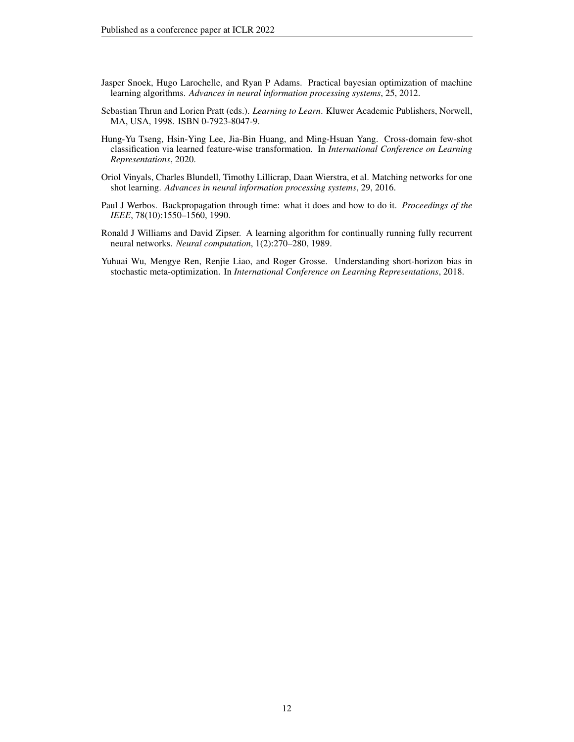- <span id="page-11-1"></span>Jasper Snoek, Hugo Larochelle, and Ryan P Adams. Practical bayesian optimization of machine learning algorithms. *Advances in neural information processing systems*, 25, 2012.
- <span id="page-11-0"></span>Sebastian Thrun and Lorien Pratt (eds.). *Learning to Learn*. Kluwer Academic Publishers, Norwell, MA, USA, 1998. ISBN 0-7923-8047-9.
- <span id="page-11-6"></span>Hung-Yu Tseng, Hsin-Ying Lee, Jia-Bin Huang, and Ming-Hsuan Yang. Cross-domain few-shot classification via learned feature-wise transformation. In *International Conference on Learning Representations*, 2020.
- <span id="page-11-5"></span>Oriol Vinyals, Charles Blundell, Timothy Lillicrap, Daan Wierstra, et al. Matching networks for one shot learning. *Advances in neural information processing systems*, 29, 2016.
- <span id="page-11-3"></span>Paul J Werbos. Backpropagation through time: what it does and how to do it. *Proceedings of the IEEE*, 78(10):1550–1560, 1990.
- <span id="page-11-2"></span>Ronald J Williams and David Zipser. A learning algorithm for continually running fully recurrent neural networks. *Neural computation*, 1(2):270–280, 1989.
- <span id="page-11-4"></span>Yuhuai Wu, Mengye Ren, Renjie Liao, and Roger Grosse. Understanding short-horizon bias in stochastic meta-optimization. In *International Conference on Learning Representations*, 2018.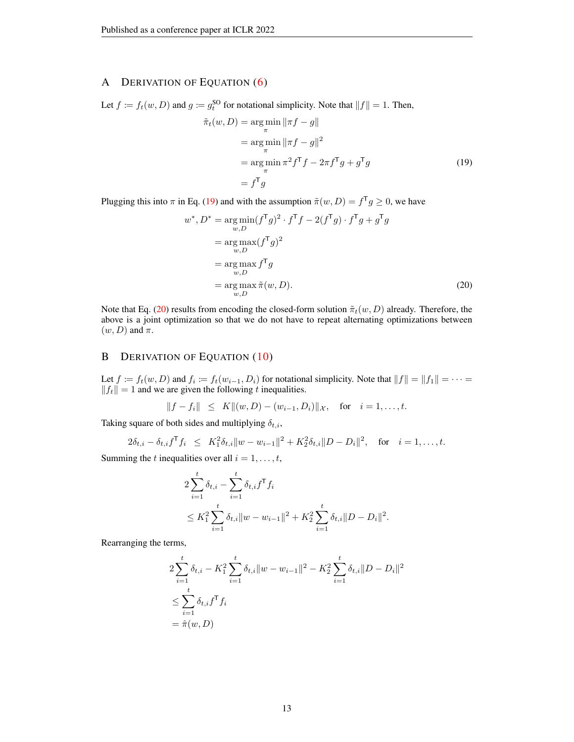# <span id="page-12-0"></span>A DERIVATION OF EQUATION [\(6\)](#page-4-2)

Let  $f := f_t(w, D)$  and  $g := g_t^{\text{SO}}$  for notational simplicity. Note that  $||f|| = 1$ . Then,

<span id="page-12-2"></span>
$$
\tilde{\pi}_t(w, D) = \underset{\pi}{\arg\min} \|\pi f - g\|
$$
  
\n
$$
= \underset{\pi}{\arg\min} \|\pi f - g\|^2
$$
  
\n
$$
= \underset{\pi}{\arg\min} \pi^2 f^\mathsf{T} f - 2\pi f^\mathsf{T} g + g^\mathsf{T} g
$$
  
\n
$$
= f^\mathsf{T} g
$$
\n(19)

Plugging this into  $\pi$  in Eq. [\(19\)](#page-12-2) and with the assumption  $\tilde{\pi}(w, D) = f^{\mathsf{T}} g \ge 0$ , we have

$$
w^*, D^* = \underset{w,D}{\arg \min} (f^{\mathsf{T}}g)^2 \cdot f^{\mathsf{T}}f - 2(f^{\mathsf{T}}g) \cdot f^{\mathsf{T}}g + g^{\mathsf{T}}g
$$
  
\n
$$
= \underset{w,D}{\arg \max} (f^{\mathsf{T}}g)^2
$$
  
\n
$$
= \underset{w,D}{\arg \max} f^{\mathsf{T}}g
$$
  
\n
$$
= \underset{w,D}{\arg \max} \tilde{\pi}(w, D). \tag{20}
$$

Note that Eq. [\(20\)](#page-12-3) results from encoding the closed-form solution  $\tilde{\pi}_t(w, D)$  already. Therefore, the above is a joint optimization so that we do not have to repeat alternating optimizations between  $(w, D)$  and  $\pi$ .

# <span id="page-12-1"></span>B DERIVATION OF EQUATION [\(10\)](#page-4-8)

Let  $f := f_t(w, D)$  and  $f_i := f_t(w_{i-1}, D_i)$  for notational simplicity. Note that  $||f|| = ||f_1|| = \cdots =$  $||f_t|| = 1$  and we are given the following t inequalities.

$$
||f - f_i|| \le K||(w, D) - (w_{i-1}, D_i)||_{\mathcal{X}}, \text{ for } i = 1, ..., t.
$$

Taking square of both sides and multiplying  $\delta_{t,i}$ ,

$$
2\delta_{t,i} - \delta_{t,i} f^{\mathsf{T}} f_i \leq K_1^2 \delta_{t,i} \|w - w_{i-1}\|^2 + K_2^2 \delta_{t,i} \|D - D_i\|^2, \text{ for } i = 1, \dots, t.
$$

Summing the t inequalities over all  $i = 1, \ldots, t$ ,

$$
2\sum_{i=1}^{t} \delta_{t,i} - \sum_{i=1}^{t} \delta_{t,i} f^{\mathsf{T}} f_i
$$
  
 
$$
\leq K_1^2 \sum_{i=1}^{t} \delta_{t,i} \|w - w_{i-1}\|^2 + K_2^2 \sum_{i=1}^{t} \delta_{t,i} \|D - D_i\|^2
$$

<span id="page-12-3"></span>.

Rearranging the terms,

$$
2\sum_{i=1}^{t} \delta_{t,i} - K_1^2 \sum_{i=1}^{t} \delta_{t,i} ||w - w_{i-1}||^2 - K_2^2 \sum_{i=1}^{t} \delta_{t,i} ||D - D_i||^2
$$
  

$$
\leq \sum_{i=1}^{t} \delta_{t,i} f^{\mathsf{T}} f_i
$$
  

$$
= \hat{\pi}(w, D)
$$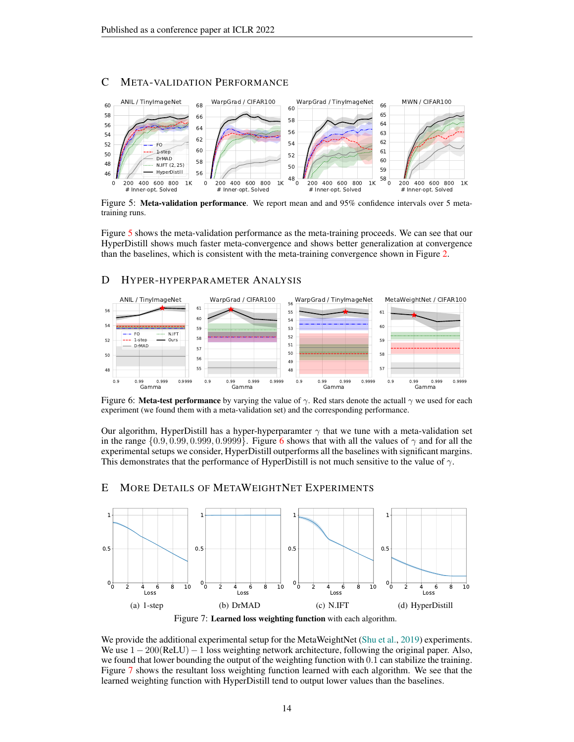# C META-VALIDATION PERFORMANCE



<span id="page-13-0"></span>Figure 5: Meta-validation performance. We report mean and and 95% confidence intervals over 5 metatraining runs.

Figure [5](#page-13-0) shows the meta-validation performance as the meta-training proceeds. We can see that our HyperDistill shows much faster meta-convergence and shows better generalization at convergence than the baselines, which is consistent with the meta-training convergence shown in Figure [2.](#page-7-1)

# D HYPER-HYPERPARAMETER ANALYSIS



<span id="page-13-1"></span>Figure 6: Meta-test performance by varying the value of  $\gamma$ . Red stars denote the actuall  $\gamma$  we used for each experiment (we found them with a meta-validation set) and the corresponding performance.

Our algorithm, HyperDistill has a hyper-hyperparamter  $\gamma$  that we tune with a meta-validation set in the range  $\{0.9, 0.99, 0.999, 0.9999\}$ . Figure [6](#page-13-1) shows that with all the values of  $\gamma$  and for all the experimental setups we consider, HyperDistill outperforms all the baselines with significant margins. This demonstrates that the performance of HyperDistill is not much sensitive to the value of  $\gamma$ .

### E MORE DETAILS OF METAWEIGHTNET EXPERIMENTS



<span id="page-13-2"></span>We provide the additional experimental setup for the MetaWeightNet [\(Shu et al.,](#page-10-15) [2019\)](#page-10-15) experiments. We use  $1 - 200(ReLU) - 1$  loss weighting network architecture, following the original paper. Also, we found that lower bounding the output of the weighting function with 0.1 can stabilize the training. Figure [7](#page-13-2) shows the resultant loss weighting function learned with each algorithm. We see that the learned weighting function with HyperDistill tend to output lower values than the baselines.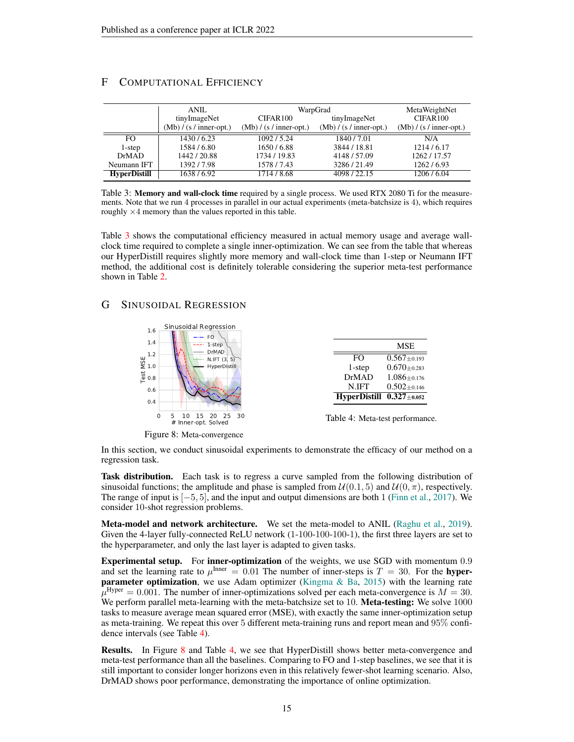|                     | ANIL                      | WarpGrad                  | MetaWeightNet             |                           |  |
|---------------------|---------------------------|---------------------------|---------------------------|---------------------------|--|
|                     | tinyImageNet              | CIFAR100                  | tinyImageNet              |                           |  |
|                     | $(Mb) / (s / inner-opt.)$ | $(Mb) / (s / inner-opt.)$ | $(Mb) / (s / inner-opt.)$ | $(Mb) / (s / inner-opt.)$ |  |
| FO.                 | 1430/6.23                 | 1092/5.24                 | 1840/7.01                 | N/A                       |  |
| 1-step              | 1584/6.80                 | 1650/6.88                 | 3844 / 18.81              | 1214/6.17                 |  |
| DrMAD               | 1442/20.88                | 1734 / 19.83              | 4148 / 57.09              | 1262/17.57                |  |
| Neumann IFT         | 1392/7.98                 | 1578/7.43                 | 3286/21.49                | 1262/6.93                 |  |
| <b>HyperDistill</b> | 1638/6.92                 | 1714/8.68                 | 4098/22.15                | 1206/6.04                 |  |

# <span id="page-14-1"></span>F COMPUTATIONAL EFFICIENCY

<span id="page-14-0"></span>Table 3: **Memory and wall-clock time** required by a single process. We used RTX 2080 Ti for the measurements. Note that we run 4 processes in parallel in our actual experiments (meta-batchsize is 4), which requires roughly  $\times$  4 memory than the values reported in this table.

Table [3](#page-14-0) shows the computational efficiency measured in actual memory usage and average wallclock time required to complete a single inner-optimization. We can see from the table that whereas our HyperDistill requires slightly more memory and wall-clock time than 1-step or Neumann IFT method, the additional cost is definitely tolerable considering the superior meta-test performance shown in Table [2.](#page-7-0)

# G SINUSOIDAL REGRESSION

<span id="page-14-2"></span>

<span id="page-14-3"></span>Figure 8: Meta-convergence

| In this section, we conduct sinusoidal experiments to demonstrate the efficacy of our method on a |  |  |  |  |  |
|---------------------------------------------------------------------------------------------------|--|--|--|--|--|
| regression task.                                                                                  |  |  |  |  |  |

Task distribution. Each task is to regress a curve sampled from the following distribution of sinusoidal functions; the amplitude and phase is sampled from  $\mathcal{U}(0.1, 5)$  and  $\mathcal{U}(0, \pi)$ , respectively. The range of input is  $[-5, 5]$ , and the input and output dimensions are both 1 [\(Finn et al.,](#page-9-8) [2017\)](#page-9-8). We consider 10-shot regression problems.

Meta-model and network architecture. We set the meta-model to ANIL [\(Raghu et al.,](#page-10-2) [2019\)](#page-10-2). Given the 4-layer fully-connected ReLU network (1-100-100-100-1), the first three layers are set to the hyperparameter, and only the last layer is adapted to given tasks.

**Experimental setup.** For **inner-optimization** of the weights, we use SGD with momentum 0.9 and set the learning rate to  $\mu^{\text{Inner}} = 0.01$  The number of inner-steps is  $T = 30$ . For the **hyperparameter optimization**, we use Adam optimizer (Kingma  $\&$  Ba, [2015\)](#page-9-14) with the learning rate  $\mu^{\text{Hyper}} = 0.001$ . The number of inner-optimizations solved per each meta-convergence is  $M = 30$ . We perform parallel meta-learning with the meta-batchsize set to 10. Meta-testing: We solve 1000 tasks to measure average mean squared error (MSE), with exactly the same inner-optimization setup as meta-training. We repeat this over 5 different meta-training runs and report mean and 95% confidence intervals (see Table [4\)](#page-14-2).

Results. In Figure [8](#page-14-3) and Table [4,](#page-14-2) we see that HyperDistill shows better meta-convergence and meta-test performance than all the baselines. Comparing to FO and 1-step baselines, we see that it is still important to consider longer horizons even in this relatively fewer-shot learning scenario. Also, DrMAD shows poor performance, demonstrating the importance of online optimization.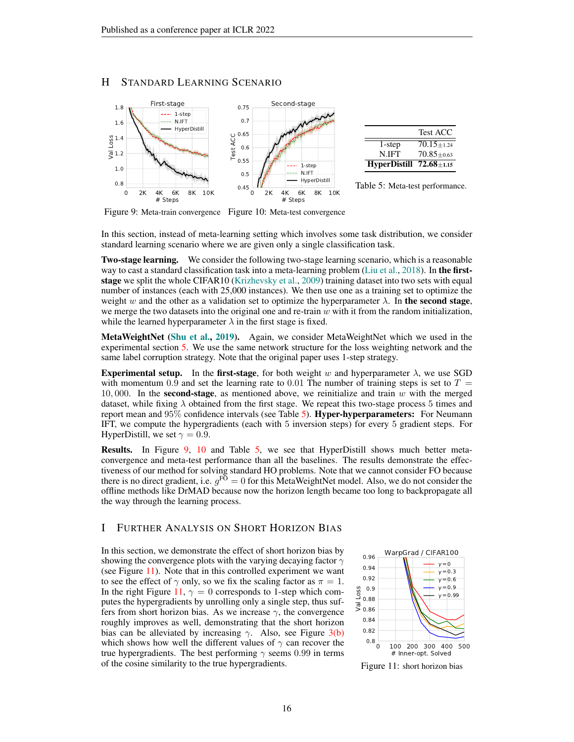# H STANDARD LEARNING SCENARIO



<span id="page-15-2"></span><span id="page-15-1"></span><span id="page-15-0"></span>Figure 9: Meta-train convergence Figure 10: Meta-test convergence

In this section, instead of meta-learning setting which involves some task distribution, we consider standard learning scenario where we are given only a single classification task.

Two-stage learning. We consider the following two-stage learning scenario, which is a reasonable way to cast a standard classification task into a meta-learning problem [\(Liu et al.,](#page-10-16) [2018\)](#page-10-16). In the firststage we split the whole CIFAR10 [\(Krizhevsky et al.,](#page-9-13) [2009\)](#page-9-13) training dataset into two sets with equal number of instances (each with 25,000 instances). We then use one as a training set to optimize the weight w and the other as a validation set to optimize the hyperparameter  $\lambda$ . In the second stage, we merge the two datasets into the original one and re-train  $w$  with it from the random initialization, while the learned hyperparameter  $\lambda$  in the first stage is fixed.

MetaWeightNet [\(Shu et al.,](#page-10-15) [2019\)](#page-10-15). Again, we consider MetaWeightNet which we used in the experimental section [5.](#page-6-4) We use the same network structure for the loss weighting network and the same label corruption strategy. Note that the original paper uses 1-step strategy.

**Experimental setup.** In the first-stage, for both weight w and hyperparameter  $\lambda$ , we use SGD with momentum 0.9 and set the learning rate to 0.01 The number of training steps is set to  $T =$ 10, 000. In the **second-stage**, as mentioned above, we reinitialize and train w with the merged dataset, while fixing  $\lambda$  obtained from the first stage. We repeat this two-stage process 5 times and report mean and 95% confidence intervals (see Table [5\)](#page-15-0). Hyper-hyperparameters: For Neumann IFT, we compute the hypergradients (each with 5 inversion steps) for every 5 gradient steps. For HyperDistill, we set  $\gamma = 0.9$ .

Results. In Figure [9,](#page-15-1) [10](#page-15-2) and Table [5,](#page-15-0) we see that HyperDistill shows much better metaconvergence and meta-test performance than all the baselines. The results demonstrate the effectiveness of our method for solving standard HO problems. Note that we cannot consider FO because there is no direct gradient, i.e.  $g^{\text{FO}} = 0$  for this MetaWeightNet model. Also, we do not consider the offline methods like DrMAD because now the horizon length became too long to backpropagate all the way through the learning process.

## I FURTHER ANALYSIS ON SHORT HORIZON BIAS

In this section, we demonstrate the effect of short horizon bias by showing the convergence plots with the varying decaying factor  $\gamma$ (see Figure [11\)](#page-15-3). Note that in this controlled experiment we want to see the effect of  $\gamma$  only, so we fix the scaling factor as  $\pi = 1$ . In the right Figure [11,](#page-15-3)  $\gamma = 0$  corresponds to 1-step which computes the hypergradients by unrolling only a single step, thus suffers from short horizon bias. As we increase  $\gamma$ , the convergence roughly improves as well, demonstrating that the short horizon bias can be alleviated by increasing  $\gamma$ . Also, see Figure [3\(b\)](#page-8-1) which shows how well the different values of  $\gamma$  can recover the true hypergradients. The best performing  $\gamma$  seems 0.99 in terms of the cosine similarity to the true hypergradients.



<span id="page-15-3"></span>Figure 11: short horizon bias